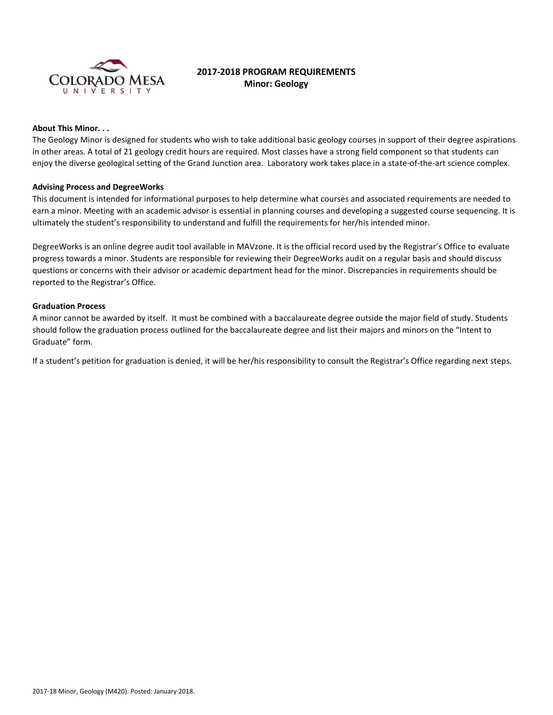

# **2017-2018 PROGRAM REQUIREMENTS Minor: Geology**

#### **About This Minor. . .**

The Geology Minor is designed for students who wish to take additional basic geology courses in support of their degree aspirations in other areas. A total of 21 geology credit hours are required. Most classes have a strong field component so that students can enjoy the diverse geological setting of the Grand Junction area. Laboratory work takes place in a state-of-the-art science complex.

### **Advising Process and DegreeWorks**

This document is intended for informational purposes to help determine what courses and associated requirements are needed to earn a minor. Meeting with an academic advisor is essential in planning courses and developing a suggested course sequencing. It is ultimately the student's responsibility to understand and fulfill the requirements for her/his intended minor.

DegreeWorks is an online degree audit tool available in MAVzone. It is the official record used by the Registrar's Office to evaluate progress towards a minor. Students are responsible for reviewing their DegreeWorks audit on a regular basis and should discuss questions or concerns with their advisor or academic department head for the minor. Discrepancies in requirements should be reported to the Registrar's Office.

### **Graduation Process**

A minor cannot be awarded by itself. It must be combined with a baccalaureate degree outside the major field of study. Students should follow the graduation process outlined for the baccalaureate degree and list their majors and minors on the "Intent to Graduate" form.

If a student's petition for graduation is denied, it will be her/his responsibility to consult the Registrar's Office regarding next steps.